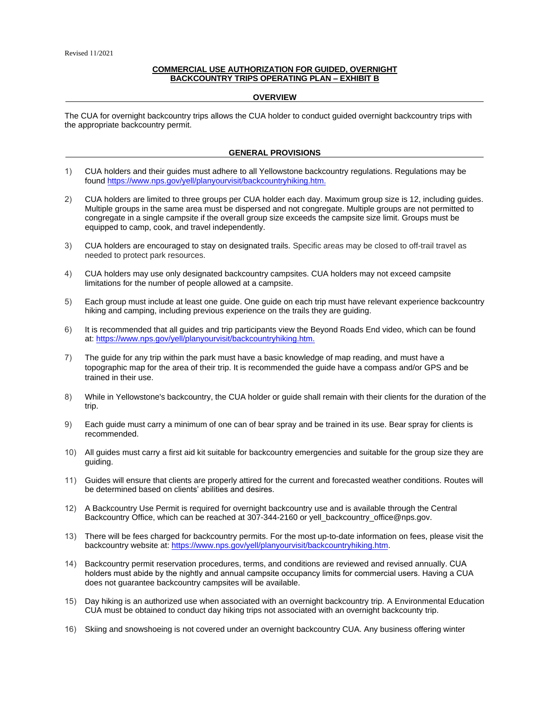## **COMMERCIAL USE AUTHORIZATION FOR GUIDED, OVERNIGHT BACKCOUNTRY TRIPS OPERATING PLAN – EXHIBIT B**

## **OVERVIEW**

 The CUA for overnight backcountry trips allows the CUA holder to conduct guided overnight backcountry trips with the appropriate backcountry permit.

## **GENERAL PROVISIONS**

- 1) CUA holders and their guides must adhere to all Yellowstone backcountry regulations. Regulations may be foun[d https://www.nps.gov/yell/planyourvisit/backcountryhiking.htm.](https://home.nps.gov/yell/planyourvisit/backcountryhiking.htm)
- 2) CUA holders are limited to three groups per CUA holder each day. Maximum group size is 12, including guides. congregate in a single campsite if the overall group size exceeds the campsite size limit. Groups must be equipped to camp, cook, and travel independently. Multiple groups in the same area must be dispersed and not congregate. Multiple groups are not permitted to
- 3) CUA holders are encouraged to stay on designated trails. Specific areas may be closed to off-trail travel as needed to protect park resources.
- limitations for the number of people allowed at a campsite. 4) CUA holders may use only designated backcountry campsites. CUA holders may not exceed campsite
- 5) Each group must include at least one guide. One guide on each trip must have relevant experience backcountry hiking and camping, including previous experience on the trails they are guiding.
- 6) It is recommended that all guides and trip participants view the Beyond Roads End video, which can be found at: [https://www.nps.gov/yell/planyourvisit/backcountryhiking.htm.](https://www.nps.gov/yell/planyourvisit/backcountryhiking.htm)
- 7) The guide for any trip within the park must have a basic knowledge of map reading, and must have a topographic map for the area of their trip. It is recommended the guide have a compass and/or GPS and be trained in their use.
- 8) While in Yellowstone's backcountry, the CUA holder or guide shall remain with their clients for the duration of the trip.
- 9) Each guide must carry a minimum of one can of bear spray and be trained in its use. Bear spray for clients is recommended.
- 10) All guides must carry a first aid kit suitable for backcountry emergencies and suitable for the group size they are guiding.
- be determined based on clients' abilities and desires. 11) Guides will ensure that clients are properly attired for the current and forecasted weather conditions. Routes will
- 12) A Backcountry Use Permit is required for overnight backcountry use and is available through the Central Backcountry Office, which can be reached at 307-344-2160 or [yell\\_backcountry\\_office@nps.gov.](mailto:yell_backcountry_office@nps.gov)
- 13) There will be fees charged for backcountry permits. For the most up-to-date information on fees, please visit the backcountry website at: [https://www.nps.gov/yell/planyourvisit/backcountryhiking.htm.](https://www.nps.gov/yell/planyourvisit/backcountryhiking.htm)
- does not guarantee backcountry campsites will be available. 14) Backcountry permit reservation procedures, terms, and conditions are reviewed and revised annually. CUA holders must abide by the nightly and annual campsite occupancy limits for commercial users. Having a CUA
- 15) Day hiking is an authorized use when associated with an overnight backcountry trip. A Environmental Education CUA must be obtained to conduct day hiking trips not associated with an overnight backcounty trip.
- 16) Skiing and snowshoeing is not covered under an overnight backcountry CUA. Any business offering winter